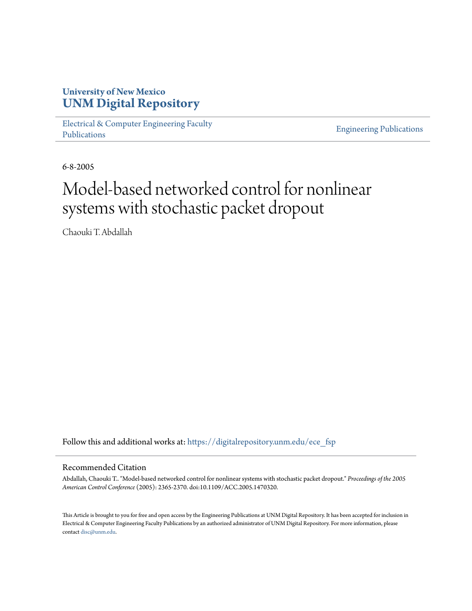# **University of New Mexico [UNM Digital Repository](https://digitalrepository.unm.edu?utm_source=digitalrepository.unm.edu%2Fece_fsp%2F201&utm_medium=PDF&utm_campaign=PDFCoverPages)**

[Electrical & Computer Engineering Faculty](https://digitalrepository.unm.edu/ece_fsp?utm_source=digitalrepository.unm.edu%2Fece_fsp%2F201&utm_medium=PDF&utm_campaign=PDFCoverPages) [Publications](https://digitalrepository.unm.edu/ece_fsp?utm_source=digitalrepository.unm.edu%2Fece_fsp%2F201&utm_medium=PDF&utm_campaign=PDFCoverPages)

[Engineering Publications](https://digitalrepository.unm.edu/eng_fsp?utm_source=digitalrepository.unm.edu%2Fece_fsp%2F201&utm_medium=PDF&utm_campaign=PDFCoverPages)

6-8-2005

# Model-based networked control for nonlinear systems with stochastic packet dropout

Chaouki T. Abdallah

Follow this and additional works at: [https://digitalrepository.unm.edu/ece\\_fsp](https://digitalrepository.unm.edu/ece_fsp?utm_source=digitalrepository.unm.edu%2Fece_fsp%2F201&utm_medium=PDF&utm_campaign=PDFCoverPages)

# Recommended Citation

Abdallah, Chaouki T.. "Model-based networked control for nonlinear systems with stochastic packet dropout." *Proceedings of the 2005 American Control Conference* (2005): 2365-2370. doi:10.1109/ACC.2005.1470320.

This Article is brought to you for free and open access by the Engineering Publications at UNM Digital Repository. It has been accepted for inclusion in Electrical & Computer Engineering Faculty Publications by an authorized administrator of UNM Digital Repository. For more information, please contact [disc@unm.edu.](mailto:disc@unm.edu)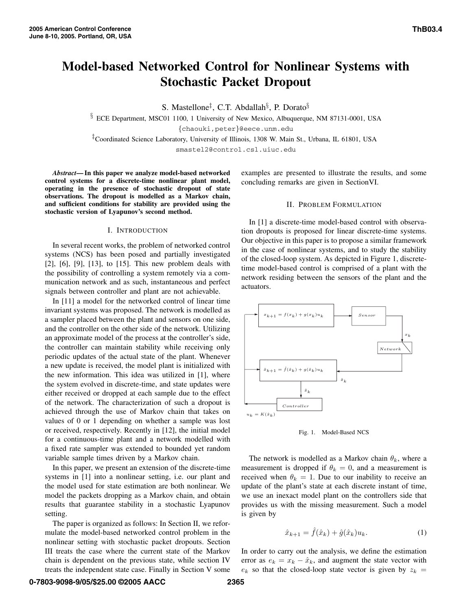# **Model-based Networked Control for Nonlinear Systems with Stochastic Packet Dropout**

S. Mastellone‡, C.T. Abdallah§, P. Dorato§

<sup>§</sup> ECE Department, MSC01 1100, 1 University of New Mexico, Albuquerque, NM 87131-0001, USA {chaouki,peter}@eece.unm.edu

‡Coordinated Science Laboratory, University of Illinois, 1308 W. Main St., Urbana, IL 61801, USA

smastel2@control.csl.uiuc.edu

*Abstract***— In this paper we analyze model-based networked control systems for a discrete-time nonlinear plant model, operating in the presence of stochastic dropout of state observations. The dropout is modelled as a Markov chain, and sufficient conditions for stability are provided using the stochastic version of Lyapunov's second method.**

# I. INTRODUCTION

In several recent works, the problem of networked control systems (NCS) has been posed and partially investigated [2], [6], [9], [13], to [15]. This new problem deals with the possibility of controlling a system remotely via a communication network and as such, instantaneous and perfect signals between controller and plant are not achievable.

In [11] a model for the networked control of linear time invariant systems was proposed. The network is modelled as a sampler placed between the plant and sensors on one side, and the controller on the other side of the network. Utilizing an approximate model of the process at the controller's side, the controller can maintain stability while receiving only periodic updates of the actual state of the plant. Whenever a new update is received, the model plant is initialized with the new information. This idea was utilized in [1], where the system evolved in discrete-time, and state updates were either received or dropped at each sample due to the effect of the network. The characterization of such a dropout is achieved through the use of Markov chain that takes on values of 0 or 1 depending on whether a sample was lost or received, respectively. Recently in [12], the initial model for a continuous-time plant and a network modelled with a fixed rate sampler was extended to bounded yet random variable sample times driven by a Markov chain.

In this paper, we present an extension of the discrete-time systems in [1] into a nonlinear setting, i.e. our plant and the model used for state estimation are both nonlinear. We model the packets dropping as a Markov chain, and obtain results that guarantee stability in a stochastic Lyapunov setting.

The paper is organized as follows: In Section II, we reformulate the model-based networked control problem in the nonlinear setting with stochastic packet dropouts. Section III treats the case where the current state of the Markov chain is dependent on the previous state, while section IV treats the independent state case. Finally in Section V some

examples are presented to illustrate the results, and some concluding remarks are given in SectionVI.

# II. PROBLEM FORMULATION

In [1] a discrete-time model-based control with observation dropouts is proposed for linear discrete-time systems. Our objective in this paper is to propose a similar framework in the case of nonlinear systems, and to study the stability of the closed-loop system. As depicted in Figure 1, discretetime model-based control is comprised of a plant with the network residing between the sensors of the plant and the actuators.



Fig. 1. Model-Based NCS

The network is modelled as a Markov chain  $\theta_k$ , where a measurement is dropped if  $\theta_k = 0$ , and a measurement is received when  $\theta_k = 1$ . Due to our inability to receive an update of the plant's state at each discrete instant of time, we use an inexact model plant on the controllers side that provides us with the missing measurement. Such a model is given by

$$
\hat{x}_{k+1} = \hat{f}(\hat{x}_k) + \hat{g}(\hat{x}_k)u_k.
$$
 (1)

In order to carry out the analysis, we define the estimation error as  $e_k = x_k - \hat{x}_k$ , and augment the state vector with  $e_k$  so that the closed-loop state vector is given by  $z_k =$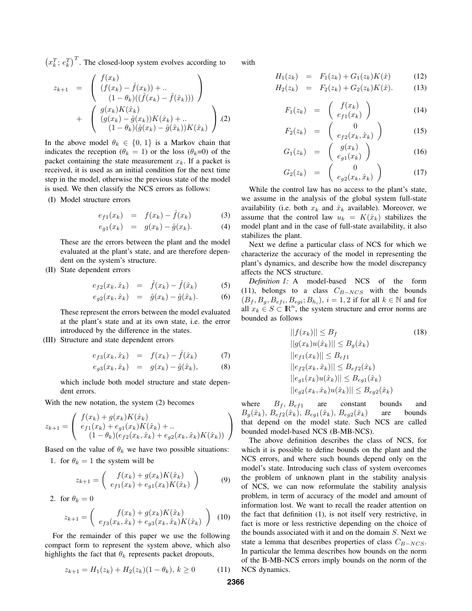$(x_k^T; e_k^T)^T$ . The closed-loop system evolves according to

$$
z_{k+1} = \begin{pmatrix} f(x_k) \\ (f(x_k) - \hat{f}(x_k)) + \dots \\ (1 - \theta_k)((\hat{f}(x_k) - \hat{f}(\hat{x}_k))) \end{pmatrix} + \begin{pmatrix} g(x_k)K(\hat{x}_k) \\ (g(x_k) - \hat{g}(x_k))K(\hat{x}_k) + \dots \\ (1 - \theta_k)(\hat{g}(x_k) - \hat{g}(\hat{x}_k))K(\hat{x}_k) \end{pmatrix} . (2)
$$

In the above model  $\theta_k \in \{0, 1\}$  is a Markov chain that indicates the reception ( $\theta_k = 1$ ) or the loss ( $\theta_k = 0$ ) of the packet containing the state measurement  $x_k$ . If a packet is received, it is used as an initial condition for the next time step in the model, otherwise the previous state of the model is used. We then classify the NCS errors as follows:

(I) Model structure errors

$$
e_{f1}(x_k) = f(x_k) - \hat{f}(x_k)
$$
 (3)

$$
e_{g1}(x_k) = g(x_k) - \hat{g}(x_k). \tag{4}
$$

These are the errors between the plant and the model evaluated at the plant's state, and are therefore dependent on the system's structure.

(II) State dependent errors

$$
e_{f2}(x_k, \hat{x}_k) = \hat{f}(x_k) - \hat{f}(\hat{x}_k) \tag{5}
$$

$$
e_{g2}(x_k, \hat{x}_k) = \hat{g}(x_k) - \hat{g}(\hat{x}_k).
$$
 (6)

These represent the errors between the model evaluated at the plant's state and at its own state, i.e. the error introduced by the difference in the states.

(III) Structure and state dependent errors

$$
e_{f3}(x_k, \hat{x}_k) = f(x_k) - f(\hat{x}_k) \tag{7}
$$

$$
e_{g3}(x_k, \hat{x}_k) = g(x_k) - \hat{g}(\hat{x}_k),
$$
 (8)

which include both model structure and state dependent errors.

With the new notation, the system (2) becomes

$$
z_{k+1} = \begin{pmatrix} f(x_k) + g(x_k)K(\hat{x}_k) \\ e_{f1}(x_k) + e_{g1}(x_k)K(\hat{x}_k) + \dots \\ (1 - \theta_k)(e_{f2}(x_k, \hat{x}_k) + e_{g2}(x_k, \hat{x}_k)K(\hat{x}_k)) \end{pmatrix}
$$

Based on the value of  $\theta_k$  we have two possible situations:

1. for  $\theta_k = 1$  the system will be

$$
z_{k+1} = \begin{pmatrix} f(x_k) + g(x_k)K(\hat{x}_k) \\ e_{f1}(x_k) + e_{g1}(x_k)K(\hat{x}_k) \end{pmatrix}
$$
 (9)

2. for 
$$
\theta_k = 0
$$

$$
z_{k+1} = \begin{pmatrix} f(x_k) + g(x_k)K(\hat{x}_k) \\ e_{f3}(x_k, \hat{x}_k) + e_{g3}(x_k, \hat{x}_k)K(\hat{x}_k) \end{pmatrix}
$$
 (10)

For the remainder of this paper we use the following compact form to represent the system above, which also highlights the fact that  $\theta_k$  represents packet dropouts,

$$
z_{k+1} = H_1(z_k) + H_2(z_k)(1 - \theta_k), \ k \ge 0 \tag{11}
$$

with

$$
H_1(z_k) = F_1(z_k) + G_1(z_k)K(\hat{x}) \tag{12}
$$

$$
H_2(z_k) = F_2(z_k) + G_2(z_k)K(\hat{x}). \tag{13}
$$

$$
F_1(z_k) = \begin{pmatrix} f(x_k) \\ e_{f1}(x_k) \end{pmatrix}
$$
 (14)

$$
F_2(z_k) = \begin{pmatrix} 0 \\ e_{f2}(x_k, \hat{x}_k) \end{pmatrix}
$$
 (15)

$$
G_1(z_k) = \begin{pmatrix} g(x_k) \\ e_{g1}(x_k) \end{pmatrix} \tag{16}
$$

$$
G_2(z_k) = \begin{pmatrix} 0 \\ e_{g2}(x_k, \hat{x}_k) \end{pmatrix}
$$
 (17)

While the control law has no access to the plant's state, we assume in the analysis of the global system full-state availability (i.e. both  $x_k$  and  $\hat{x}_k$  available). Moreover, we assume that the control law  $u_k = K(\hat{x}_k)$  stabilizes the model plant and in the case of full-state availability, it also stabilizes the plant.

Next we define a particular class of NCS for which we characterize the accuracy of the model in representing the plant's dynamics, and describe how the model discrepancy affects the NCS structure.

*Definition 1:* A model-based NCS of the form (11), belongs to a class  $C_{B-NCS}$  with the bounds  $(B_f, B_g, B_{efi}, B_{egi}; B_{h_i}), i = 1, 2$  if for all  $k \in \mathbb{N}$  and for all  $x_k \in S \subset \mathbb{R}^n$ , the system structure and error norms are bounded as follows

$$
||f(x_k)|| \le B_f
$$
\n
$$
||g(x_k)u(\hat{x}_k)|| \le B_g(\hat{x}_k)
$$
\n
$$
||e_{f1}(x_k)|| \le B_{ef1}
$$
\n
$$
||e_{f2}(x_k, \hat{x}_k)|| \le B_{ef2}(\hat{x}_k)
$$
\n
$$
||e_{g1}(x_k)u(\hat{x}_k)|| \le B_{eg1}(\hat{x}_k)
$$
\n
$$
||e_{g2}(x_k, \hat{x}_k)u(\hat{x}_k)|| \le B_{eg2}(\hat{x}_k)
$$

where  $B_f$ ,  $B_{ef1}$  are constant bounds and  $B_g(\hat{x}_k)$ ,  $B_{e f 2}(\hat{x}_k)$ ,  $B_{e g 1}(\hat{x}_k)$ ,  $B_{e g 2}(\hat{x}_k)$  are bounds that depend on the model state. Such NCS are called bounded model-based NCS (B-MB-NCS).

The above definition describes the class of NCS, for which it is possible to define bounds on the plant and the NCS errors, and where such bounds depend only on the model's state. Introducing such class of system overcomes the problem of unknown plant in the stability analysis of NCS, we can now reformulate the stability analysis problem, in term of accuracy of the model and amount of information lost. We want to recall the reader attention on the fact that definition (1), is not itself very restrictive, in fact is more or less restrictive depending on the choice of the bounds associated with it and on the domain S. Next we state a lemma that describes properties of class  $C_{B-NCS}$ . In particular the lemma describes how bounds on the norm of the B-MB-NCS errors imply bounds on the norm of the NCS dynamics.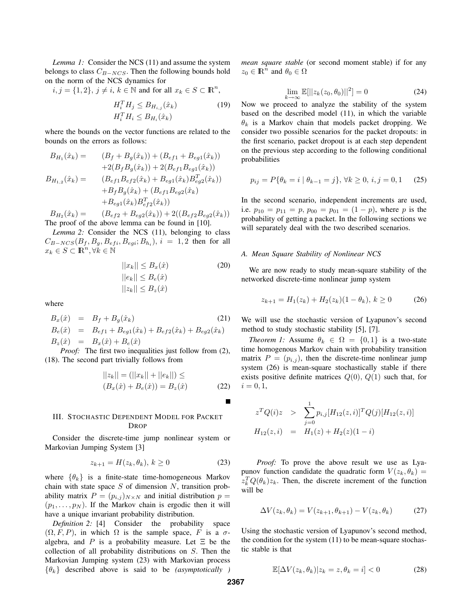*Lemma 1:* Consider the NCS (11) and assume the system belongs to class  $C_{B-NCS}$ . Then the following bounds hold on the norm of the NCS dynamics for

 $i, j = \{1, 2\}, j \neq i, k \in \mathbb{N}$  and for all  $x_k \in S \subset \mathbb{R}^n$ ,

$$
H_i^T H_j \leq B_{H_{i,j}}(\hat{x}_k)
$$
  
\n
$$
H_i^T H_i \leq B_{H_i}(\hat{x}_k)
$$
\n(19)

where the bounds on the vector functions are related to the bounds on the errors as follows:

$$
B_{H_1}(\hat{x}_k) = (B_f + B_g(\hat{x}_k)) + (B_{ef1} + B_{eg1}(\hat{x}_k))
$$
  
\n
$$
+ 2(B_f B_g(\hat{x}_k)) + 2(B_{ef1} B_{eg1}(\hat{x}_k))
$$
  
\n
$$
B_{H_{1,2}}(\hat{x}_k) = (B_{ef1} B_{ef2}(\hat{x}_k) + B_{eg1}(\hat{x}_k) B_{eg2}^T(\hat{x}_k))
$$
  
\n
$$
+ B_f B_g(\hat{x}_k) + (B_{ef1} B_{eg2}(\hat{x}_k))
$$
  
\n
$$
+ B_{eg1}(\hat{x}_k) B_{ef2}^T(\hat{x}_k))
$$

 $B_{H_2}(\hat{x}_k) = (B_{ef2} + B_{eg2}(\hat{x}_k)) + 2((B_{ef2}B_{eg2}(\hat{x}_k)))$ The proof of the above lemma can be found in [10].

*Lemma 2:* Consider the NCS (11), belonging to class  $C_{B-NCS}(B_f, B_q, B_{efi}, B_{egi}; B_{h_i}), i = 1,2$  then for all  $x_k \in S \subset \mathbb{R}^n, \forall k \in \mathbb{N}$ 

$$
||x_k|| \leq B_x(\hat{x})
$$
  
\n
$$
||e_k|| \leq B_e(\hat{x})
$$
  
\n
$$
||z_k|| \leq B_z(\hat{x})
$$
  
\n(20)

where

$$
B_x(\hat{x}) = B_f + B_g(\hat{x}_k)
$$
(21)  
\n
$$
B_e(\hat{x}) = B_{ef1} + B_{eg1}(\hat{x}_k) + B_{ef2}(\hat{x}_k) + B_{eg2}(\hat{x}_k)
$$
  
\n
$$
B_z(\hat{x}) = B_x(\hat{x}) + B_e(\hat{x})
$$
  
\n*Proof:* The first two inequalities just follow from (2),

(18). The second part trivially follows from

$$
||z_k|| = (||x_k|| + ||e_k||) \le
$$
  
\n
$$
(B_x(\hat{x}) + B_e(\hat{x})) = B_z(\hat{x})
$$
\n(22)

# III. STOCHASTIC DEPENDENT MODEL FOR PACKET DROP

Consider the discrete-time jump nonlinear system or Markovian Jumping System [3]

$$
z_{k+1} = H(z_k, \theta_k), k \ge 0 \tag{23}
$$

where  $\{\theta_k\}$  is a finite-state time-homogeneous Markov chain with state space  $S$  of dimension  $N$ , transition probability matrix  $P = (p_{i,j})_{N \times N}$  and initial distribution  $p =$  $(p_1, \ldots, p_N)$ . If the Markov chain is ergodic then it will have a unique invariant probability distribution.

*Definition 2:* [4] Consider the probability space  $(\Omega, F, P)$ , in which  $\Omega$  is the sample space, F is a  $\sigma$ algebra, and P is a probability measure. Let  $\Xi$  be the collection of all probability distributions on S. Then the Markovian Jumping system (23) with Markovian process  $\{\theta_k\}$  described above is said to be *(asymptotically* 

*mean square stable* (or second moment stable) if for any  $z_0 \in \mathbb{R}^n$  and  $\theta_0 \in \Omega$ 

$$
\lim_{k \to \infty} \mathbb{E}[||z_k(z_0, \theta_0)||^2] = 0 \tag{24}
$$

Now we proceed to analyze the stability of the system based on the described model (11), in which the variable  $\theta_k$  is a Markov chain that models packet dropping. We consider two possible scenarios for the packet dropouts: in the first scenario, packet dropout is at each step dependent on the previous step according to the following conditional probabilities

$$
p_{ij} = P\{\theta_k = i \mid \theta_{k-1} = j\}, \forall k \ge 0, i, j = 0, 1 \quad (25)
$$

In the second scenario, independent increments are used, i.e.  $p_{10} = p_{11} = p$ ,  $p_{00} = p_{01} = (1 - p)$ , where p is the probability of getting a packet. In the following sections we will separately deal with the two described scenarios.

### *A. Mean Square Stability of Nonlinear NCS*

We are now ready to study mean-square stability of the networked discrete-time nonlinear jump system

$$
z_{k+1} = H_1(z_k) + H_2(z_k)(1 - \theta_k), k \ge 0 \tag{26}
$$

We will use the stochastic version of Lyapunov's second method to study stochastic stability [5], [7].

*Theorem 1:* Assume  $\theta_k \in \Omega = \{0, 1\}$  is a two-state time homogenous Markov chain with probability transition matrix  $P = (p_{i,j})$ , then the discrete-time nonlinear jump system (26) is mean-square stochastically stable if there exists positive definite matrices  $Q(0), Q(1)$  such that, for  $i = 0, 1,$ 

$$
z^{T}Q(i)z \geq \sum_{j=0}^{1} p_{i,j} [H_{12}(z,i)]^{T} Q(j) [H_{12}(z,i)]
$$
  

$$
H_{12}(z,i) = H_{1}(z) + H_{2}(z)(1-i)
$$

*Proof:* To prove the above result we use as Lyapunov function candidate the quadratic form  $V(z_k, \theta_k)$  =  $z_k^T Q(\theta_k) z_k$ . Then, the discrete increment of the function will be will be

$$
\Delta V(z_k, \theta_k) = V(z_{k+1}, \theta_{k+1}) - V(z_k, \theta_k)
$$
 (27)

Using the stochastic version of Lyapunov's second method, the condition for the system (11) to be mean-square stochastic stable is that

$$
\mathbb{E}[\Delta V(z_k, \theta_k)|z_k = z, \theta_k = i] < 0 \tag{28}
$$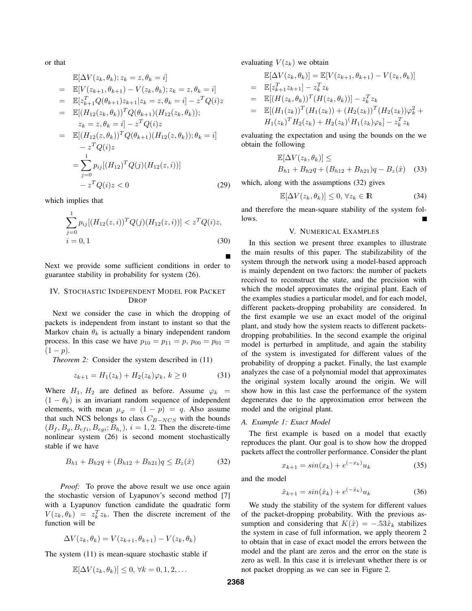or that

$$
\mathbb{E}[\Delta V(z_k, \theta_k); z_k = z, \theta_k = i]
$$
\n
$$
= \mathbb{E}[V(z_{k+1}, \theta_{k+1}) - V(z_k, \theta_k); z_k = z, \theta_k = i]
$$
\n
$$
= \mathbb{E}[z_{k+1}^T Q(\theta_{k+1}) z_{k+1} | z_k = z, \theta_k = i] - z^T Q(i)z
$$
\n
$$
= \mathbb{E}[(H_{12}(z_k, \theta_k))^T Q(\theta_{k+1}) (H_{12}(z_k, \theta_k));
$$
\n
$$
z_k = z, \theta_k = i] - z^T Q(i)z
$$
\n
$$
= \mathbb{E}[(H_{12}(z, \theta_k))^T Q(\theta_{k+1}) (H_{12}(z, \theta_k)); \theta_k = i]
$$
\n
$$
- z^T Q(i)z
$$
\n
$$
= \sum_{j=0}^1 p_{ij} [(H_{12})^T Q(j) (H_{12}(z, i))]
$$
\n
$$
- z^T Q(i)z < 0
$$
\n(29)

which implies that

$$
\sum_{j=0}^{1} p_{ij} [(H_{12}(z,i))^T Q(j) (H_{12}(z,i))] < z^T Q(i) z,
$$
  
\n
$$
i = 0, 1
$$
\n(30)

Next we provide some sufficient conditions in order to guarantee stability in probability for system (26).

# IV. STOCHASTIC INDEPENDENT MODEL FOR PACKET DROP

Next we consider the case in which the dropping of packets is independent from instant to instant so that the Markov chain  $\theta_k$  is actually a binary independent random process. In this case we have  $p_{10} = p_{11} = p$ ,  $p_{00} = p_{01} =$  $(1-p).$ 

*Theorem 2:* Consider the system described in  $(11)$ 

$$
z_{k+1} = H_1(z_k) + H_2(z_k)\varphi_k, \, k \ge 0 \tag{31}
$$

Where  $H_1$ ,  $H_2$  are defined as before. Assume  $\varphi_k$  =  $(1 - \theta_k)$  is an invariant random sequence of independent elements, with mean  $\mu_{\varphi} = (1 - p) = q$ . Also assume that such NCS belongs to class  $C_{B-NCS}$  with the bounds  $(B_f, B_g, B_{efi}, B_{egi}; B_{h_i}), i = 1, 2$ . Then the discrete-time nonlinear system (26) is second moment stochastically stable if we have

$$
B_{h1} + B_{h2}q + (B_{h12} + B_{h21})q \le B_z(\hat{x})
$$
 (32)

*Proof:* To prove the above result we use once again the stochastic version of Lyapunov's second method [7] with a Lyapunov function candidate the quadratic form  $V(z_k, \theta_k) = z_k^T z_k$ . Then the discrete increment of the function will be function will be

$$
\Delta V(z_k, \theta_k) = V(z_{k+1}, \theta_{k+1}) - V(z_k, \theta_k)
$$

The system (11) is mean-square stochastic stable if

$$
\mathbb{E}[\Delta V(z_k, \theta_k)] \leq 0, \forall k = 0, 1, 2, \dots
$$

evaluating  $V(z_k)$  we obtain

$$
\mathbb{E}[\Delta V(z_k, \theta_k)] = \mathbb{E}[V(z_{k+1}, \theta_{k+1}) - V(z_k, \theta_k)]
$$
\n
$$
= \mathbb{E}[z_{k+1}^T z_{k+1}] - z_k^T z_k
$$
\n
$$
= \mathbb{E}[(H(z_k, \theta_k))^T (H(z_k, \theta_k))] - z_k^T z_k
$$
\n
$$
= \mathbb{E}[(H_1(z_k))^T (H_1(z_k)) + (H_2(z_k))^T (H_2(z_k))\varphi_k^2 + H_1(z_k)^T H_2(z_k) + H_2(z_k)^T (H_1(z_k)\varphi_k] - z_k^T z_k]
$$

evaluating the expectation and using the bounds on the we obtain the following

$$
\mathbb{E}[\Delta V(z_k, \theta_k)] \le B_{h1} + B_{h2}q + (B_{h12} + B_{h21})q - B_z(\hat{x}) \quad (33)
$$

which, along with the assumptions  $(32)$  gives

$$
\mathbb{E}[\Delta V(z_k, \theta_k)] \le 0, \forall z_k \in \mathbb{R}
$$
 (34)

and therefore the mean-square stability of the system follows.

#### V. NUMERICAL EXAMPLES

In this section we present three examples to illustrate the main results of this paper. The stabilizability of the system through the network using a model-based approach is mainly dependent on two factors: the number of packets received to reconstruct the state, and the precision with which the model approximates the original plant. Each of the examples studies a particular model, and for each model, different packets-dropping probability are considered. In the first example we use an exact model of the original plant, and study how the system reacts to different packetsdropping probabilities. In the second example the original model is perturbed in amplitude, and again the stability of the system is investigated for different values of the probability of dropping a packet. Finally, the last example analyzes the case of a polynomial model that approximates the original system locally around the origin. We will show how in this last case the performance of the system degenerates due to the approximation error between the model and the original plant.

#### *A. Example 1: Exact Model*

The first example is based on a model that exactly reproduces the plant. Our goal is to show how the dropped packets affect the controller performance. Consider the plant

$$
x_{k+1} = \sin(x_k) + e^{(-x_k)} u_k \tag{35}
$$

and the model

$$
\hat{x}_{k+1} = \sin(\hat{x}_k) + e^{(-\hat{x}_k)} u_k \tag{36}
$$

We study the stability of the system for different values of the packet-dropping probability. With the previous assumption and considering that  $K(\hat{x}) = -.53\hat{x}_k$  stabilizes the system in case of full information, we apply theorem 2 to obtain that in case of exact model the errors between the model and the plant are zeros and the error on the state is zero as well. In this case it is irrelevant whether there is or not packet dropping as we can see in Figure 2.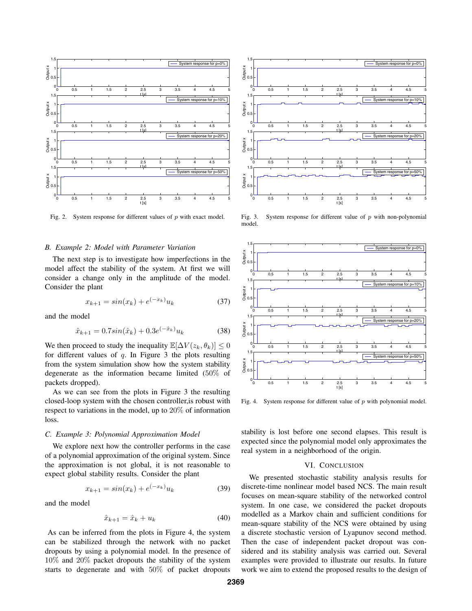

Fig. 2. System response for different values of p with exact model.

#### *B. Example 2: Model with Parameter Variation*

The next step is to investigate how imperfections in the model affect the stability of the system. At first we will consider a change only in the amplitude of the model. Consider the plant

$$
x_{k+1} = \sin(x_k) + e^{(-x_k)} u_k \tag{37}
$$

and the model

$$
\hat{x}_{k+1} = 0.7\sin(\hat{x}_k) + 0.3e^{(-\hat{x}_k)}u_k
$$
\n(38)

We then proceed to study the inequality  $\mathbb{E}[\Delta V(z_k, \theta_k)] \leq 0$ for different values of  $q$ . In Figure 3 the plots resulting from the system simulation show how the system stability degenerate as the information became limited (50% of packets dropped).

As we can see from the plots in Figure 3 the resulting closed-loop system with the chosen controller,is robust with respect to variations in the model, up to 20% of information loss.

## *C. Example 3: Polynomial Approximation Model*

We explore next how the controller performs in the case of a polynomial approximation of the original system. Since the approximation is not global, it is not reasonable to expect global stability results. Consider the plant

$$
x_{k+1} = \sin(x_k) + e^{(-x_k)} u_k \tag{39}
$$

and the model

$$
\hat{x}_{k+1} = \hat{x}_k + u_k \tag{40}
$$

As can be inferred from the plots in Figure 4, the system can be stabilized through the network with no packet dropouts by using a polynomial model. In the presence of 10% and 20% packet dropouts the stability of the system starts to degenerate and with 50% of packet dropouts



Fig. 3. System response for different value of  $p$  with non-polynomial model.



Fig. 4. System response for different value of  $p$  with polynomial model.

stability is lost before one second elapses. This result is expected since the polynomial model only approximates the real system in a neighborhood of the origin.

## VI. CONCLUSION

We presented stochastic stability analysis results for discrete-time nonlinear model based NCS. The main result focuses on mean-square stability of the networked control system. In one case, we considered the packet dropouts modelled as a Markov chain and sufficient conditions for mean-square stability of the NCS were obtained by using a discrete stochastic version of Lyapunov second method. Then the case of independent packet dropout was considered and its stability analysis was carried out. Several examples were provided to illustrate our results. In future work we aim to extend the proposed results to the design of